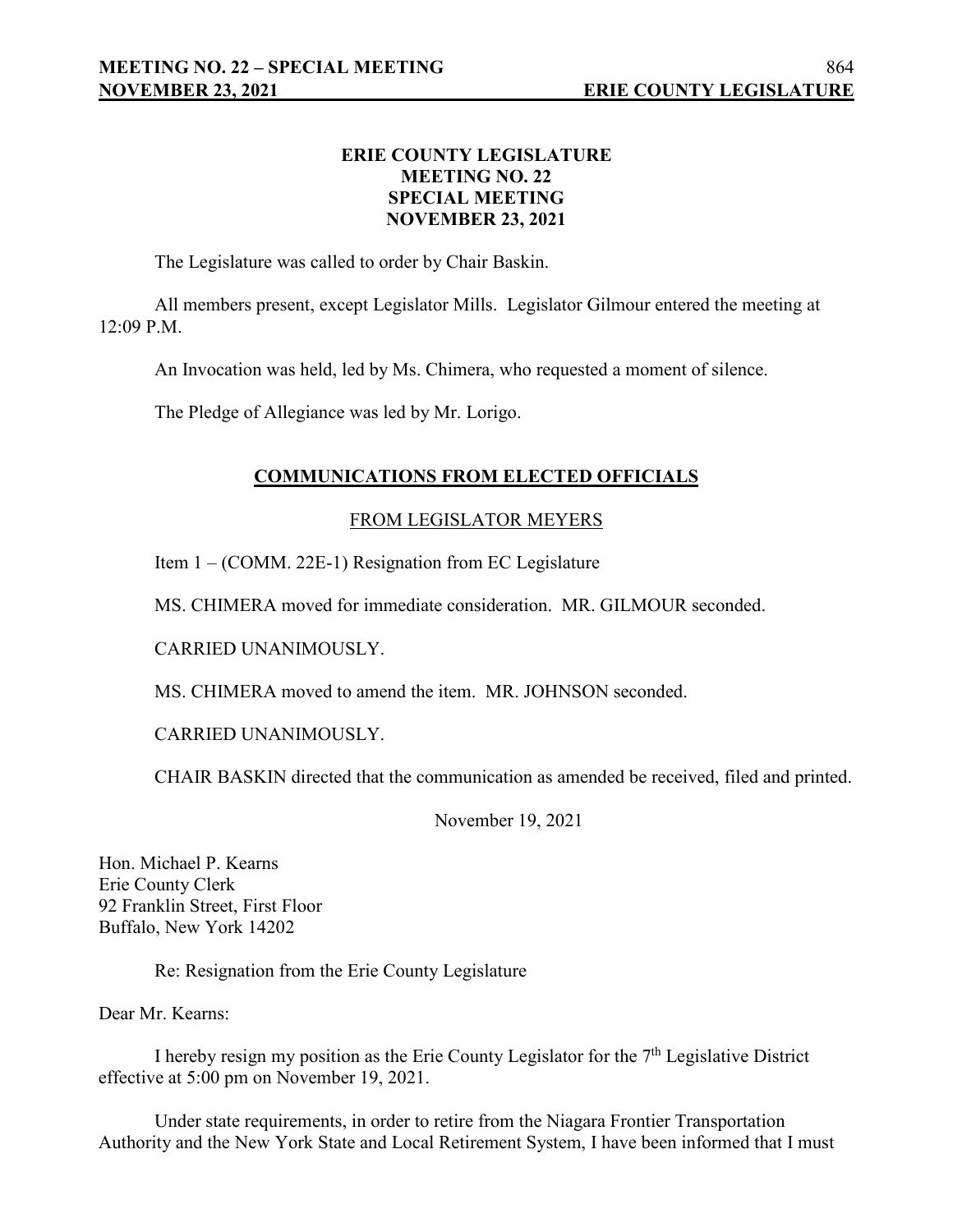## **ERIE COUNTY LEGISLATURE MEETING NO. 22 SPECIAL MEETING NOVEMBER 23, 2021**

The Legislature was called to order by Chair Baskin.

All members present, except Legislator Mills. Legislator Gilmour entered the meeting at 12:09 P.M.

An Invocation was held, led by Ms. Chimera, who requested a moment of silence.

The Pledge of Allegiance was led by Mr. Lorigo.

### **COMMUNICATIONS FROM ELECTED OFFICIALS**

### FROM LEGISLATOR MEYERS

Item 1 – (COMM. 22E-1) Resignation from EC Legislature

MS. CHIMERA moved for immediate consideration. MR. GILMOUR seconded.

CARRIED UNANIMOUSLY.

MS. CHIMERA moved to amend the item. MR. JOHNSON seconded.

CARRIED UNANIMOUSLY.

CHAIR BASKIN directed that the communication as amended be received, filed and printed.

November 19, 2021

Hon. Michael P. Kearns Erie County Clerk 92 Franklin Street, First Floor Buffalo, New York 14202

Re: Resignation from the Erie County Legislature

Dear Mr. Kearns:

I hereby resign my position as the Erie County Legislator for the 7<sup>th</sup> Legislative District effective at 5:00 pm on November 19, 2021.

Under state requirements, in order to retire from the Niagara Frontier Transportation Authority and the New York State and Local Retirement System, I have been informed that I must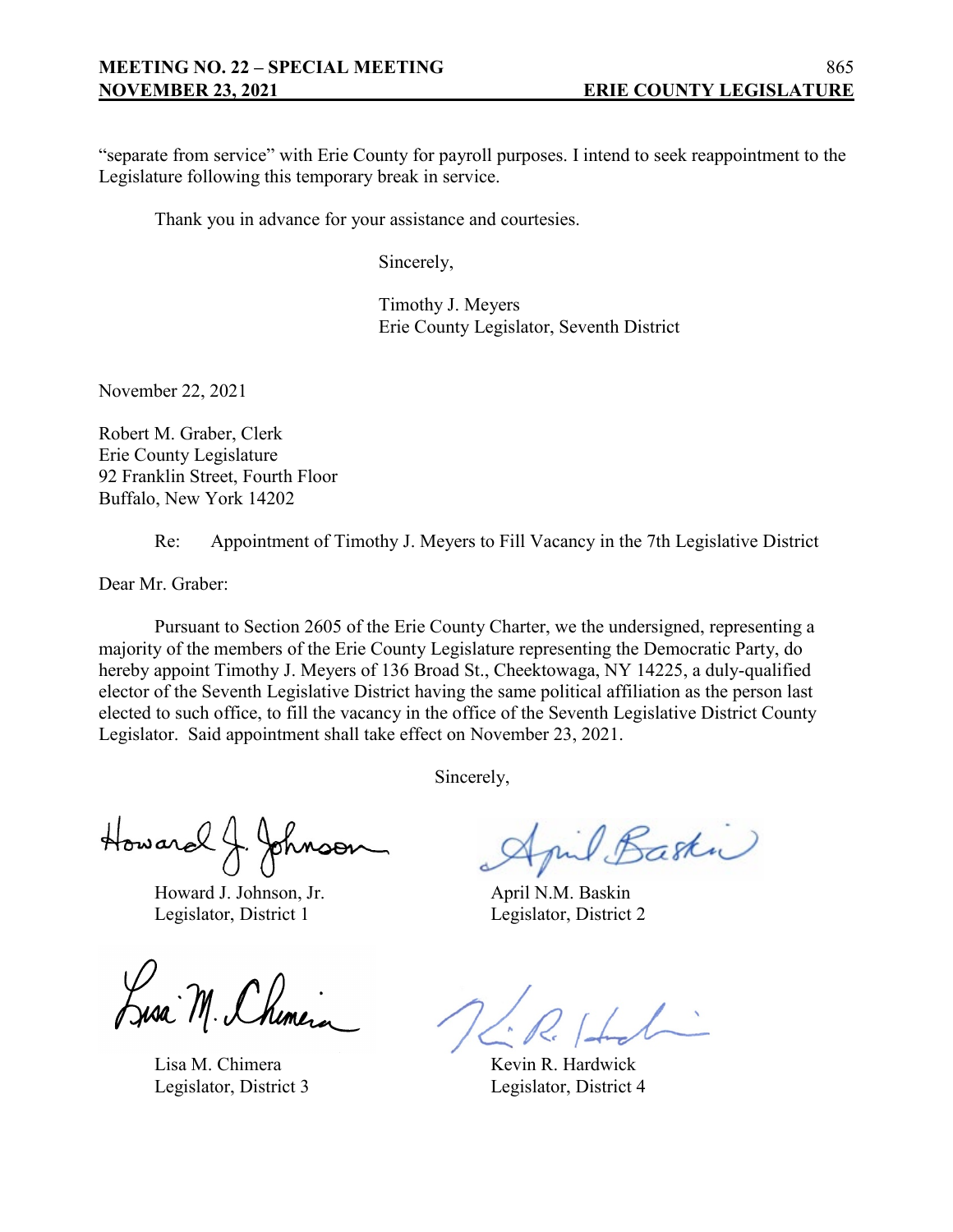"separate from service" with Erie County for payroll purposes. I intend to seek reappointment to the Legislature following this temporary break in service.

Thank you in advance for your assistance and courtesies.

Sincerely,

Timothy J. Meyers Erie County Legislator, Seventh District

November 22, 2021

Robert M. Graber, Clerk Erie County Legislature 92 Franklin Street, Fourth Floor Buffalo, New York 14202

Re: Appointment of Timothy J. Meyers to Fill Vacancy in the 7th Legislative District

Dear Mr. Graber:

Pursuant to Section 2605 of the Erie County Charter, we the undersigned, representing a majority of the members of the Erie County Legislature representing the Democratic Party, do hereby appoint Timothy J. Meyers of 136 Broad St., Cheektowaga, NY 14225, a duly-qualified elector of the Seventh Legislative District having the same political affiliation as the person last elected to such office, to fill the vacancy in the office of the Seventh Legislative District County Legislator. Said appointment shall take effect on November 23, 2021.

Sincerely,

Howard J. Johnson

Howard J. Johnson, Jr. April N.M. Baskin Legislator, District 1 Legislator, District 2

Lusa M. Chimera

Lisa M. Chimera Kevin R. Hardwick

mil Baska

Legislator, District 3 Legislator, District 4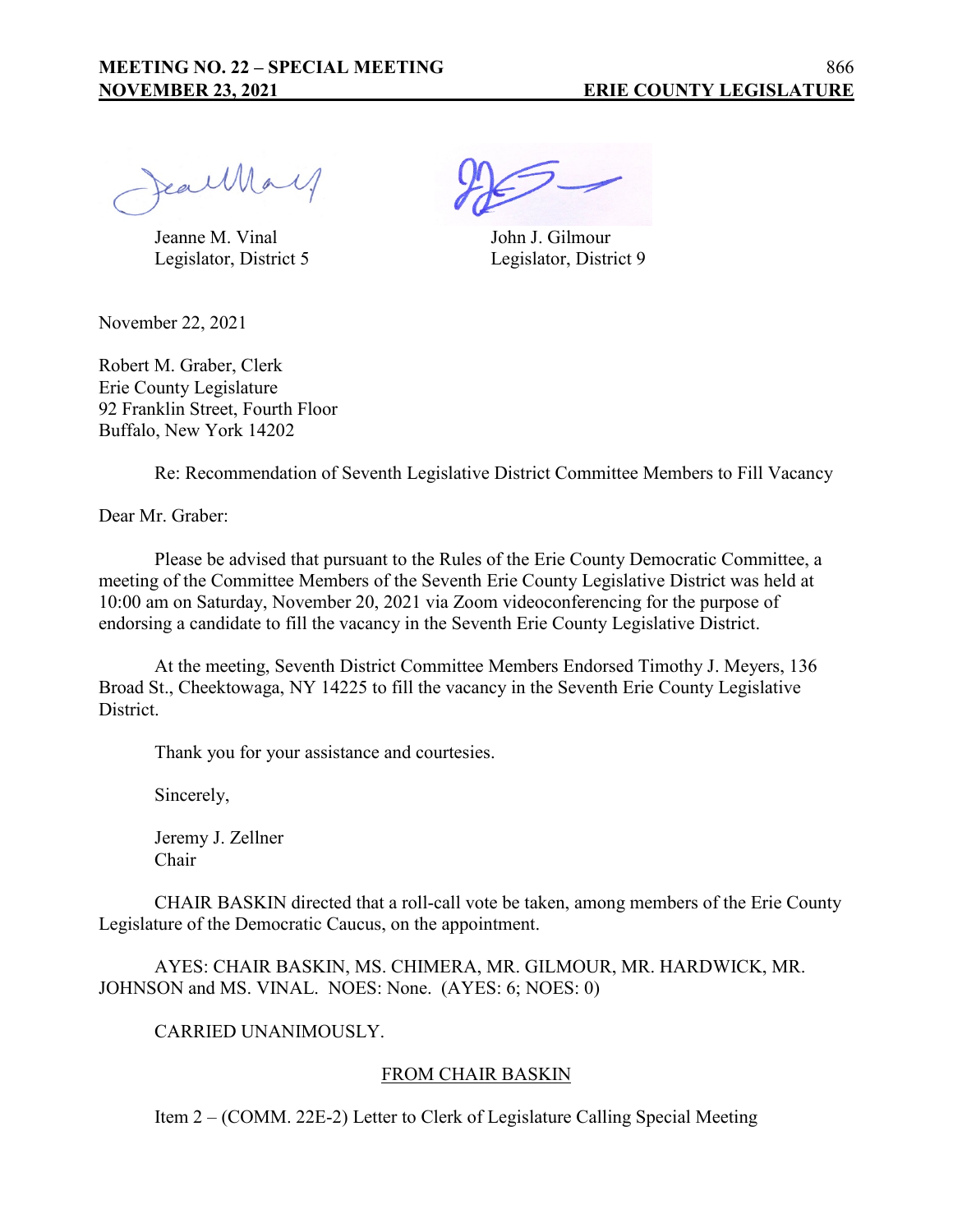JeanMay

Jeanne M. Vinal John J. Gilmour Legislator, District 5 Legislator, District 9

November 22, 2021

Robert M. Graber, Clerk Erie County Legislature 92 Franklin Street, Fourth Floor Buffalo, New York 14202

Re: Recommendation of Seventh Legislative District Committee Members to Fill Vacancy

Dear Mr. Graber:

Please be advised that pursuant to the Rules of the Erie County Democratic Committee, a meeting of the Committee Members of the Seventh Erie County Legislative District was held at 10:00 am on Saturday, November 20, 2021 via Zoom videoconferencing for the purpose of endorsing a candidate to fill the vacancy in the Seventh Erie County Legislative District.

At the meeting, Seventh District Committee Members Endorsed Timothy J. Meyers, 136 Broad St., Cheektowaga, NY 14225 to fill the vacancy in the Seventh Erie County Legislative District.

Thank you for your assistance and courtesies.

Sincerely,

Jeremy J. Zellner Chair

CHAIR BASKIN directed that a roll-call vote be taken, among members of the Erie County Legislature of the Democratic Caucus, on the appointment.

AYES: CHAIR BASKIN, MS. CHIMERA, MR. GILMOUR, MR. HARDWICK, MR. JOHNSON and MS. VINAL. NOES: None. (AYES: 6; NOES: 0)

### CARRIED UNANIMOUSLY.

### FROM CHAIR BASKIN

Item 2 – (COMM. 22E-2) Letter to Clerk of Legislature Calling Special Meeting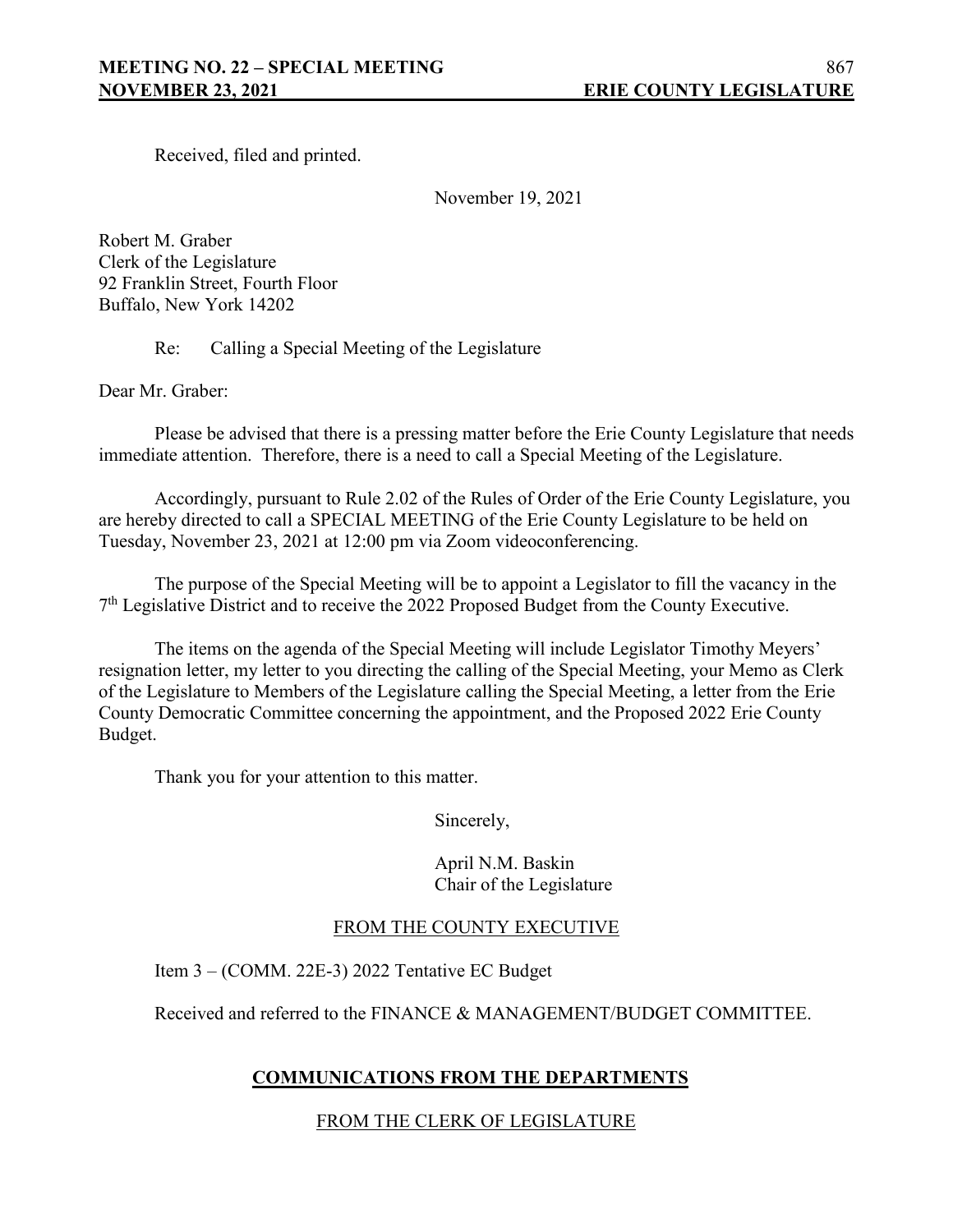Received, filed and printed.

November 19, 2021

Robert M. Graber Clerk of the Legislature 92 Franklin Street, Fourth Floor Buffalo, New York 14202

Re: Calling a Special Meeting of the Legislature

Dear Mr. Graber:

Please be advised that there is a pressing matter before the Erie County Legislature that needs immediate attention. Therefore, there is a need to call a Special Meeting of the Legislature.

Accordingly, pursuant to Rule 2.02 of the Rules of Order of the Erie County Legislature, you are hereby directed to call a SPECIAL MEETING of the Erie County Legislature to be held on Tuesday, November 23, 2021 at 12:00 pm via Zoom videoconferencing.

The purpose of the Special Meeting will be to appoint a Legislator to fill the vacancy in the  $7<sup>th</sup>$  Legislative District and to receive the 2022 Proposed Budget from the County Executive.

The items on the agenda of the Special Meeting will include Legislator Timothy Meyers' resignation letter, my letter to you directing the calling of the Special Meeting, your Memo as Clerk of the Legislature to Members of the Legislature calling the Special Meeting, a letter from the Erie County Democratic Committee concerning the appointment, and the Proposed 2022 Erie County Budget.

Thank you for your attention to this matter.

Sincerely,

April N.M. Baskin Chair of the Legislature

### FROM THE COUNTY EXECUTIVE

Item 3 – (COMM. 22E-3) 2022 Tentative EC Budget

Received and referred to the FINANCE & MANAGEMENT/BUDGET COMMITTEE.

# **COMMUNICATIONS FROM THE DEPARTMENTS**

FROM THE CLERK OF LEGISLATURE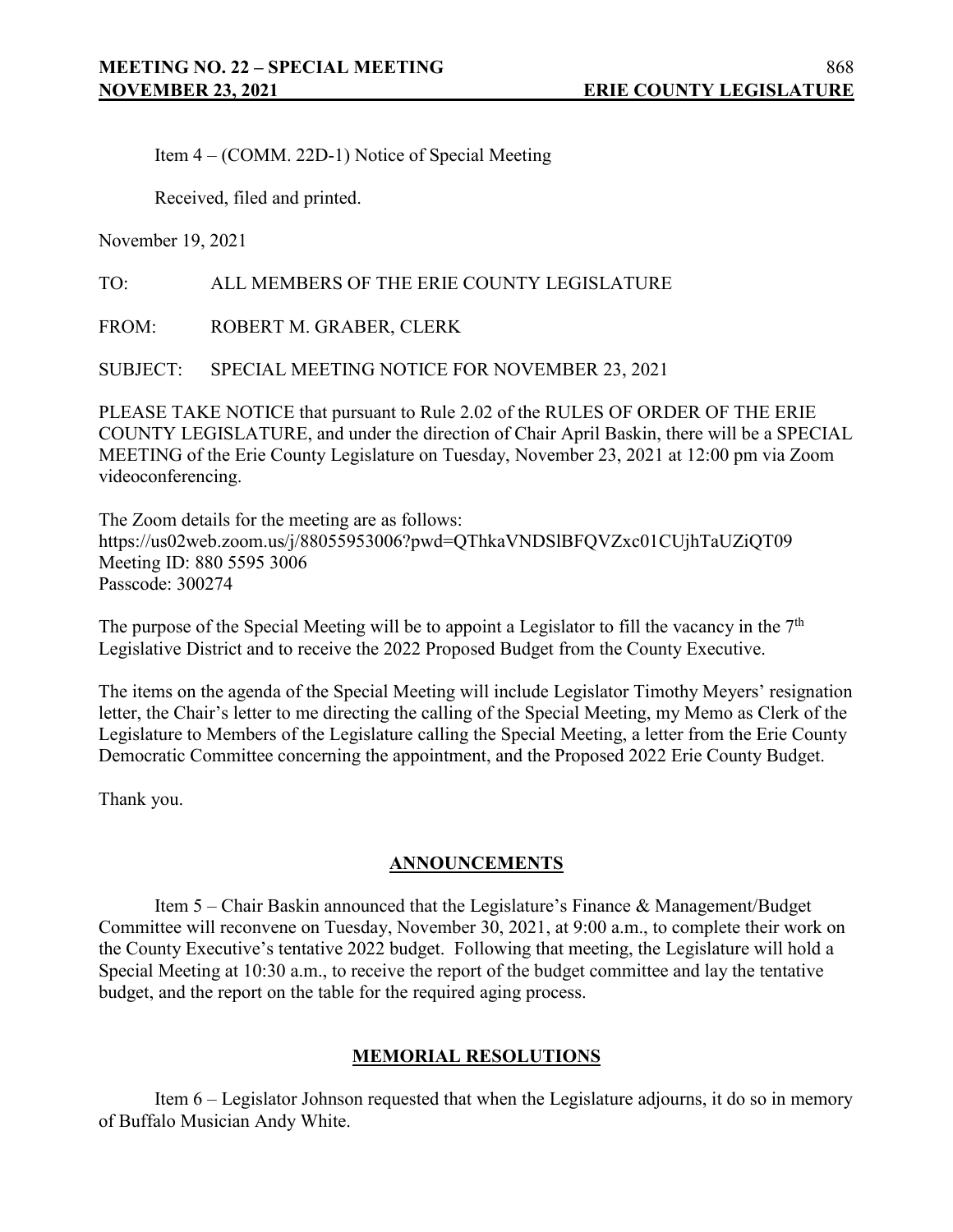Item 4 – (COMM. 22D-1) Notice of Special Meeting

Received, filed and printed.

November 19, 2021

TO: ALL MEMBERS OF THE ERIE COUNTY LEGISLATURE

FROM: ROBERT M. GRABER, CLERK

SUBJECT: SPECIAL MEETING NOTICE FOR NOVEMBER 23, 2021

PLEASE TAKE NOTICE that pursuant to Rule 2.02 of the RULES OF ORDER OF THE ERIE COUNTY LEGISLATURE, and under the direction of Chair April Baskin, there will be a SPECIAL MEETING of the Erie County Legislature on Tuesday, November 23, 2021 at 12:00 pm via Zoom videoconferencing.

The Zoom details for the meeting are as follows: https://us02web.zoom.us/j/88055953006?pwd=QThkaVNDSlBFQVZxc01CUjhTaUZiQT09 Meeting ID: 880 5595 3006 Passcode: 300274

The purpose of the Special Meeting will be to appoint a Legislator to fill the vacancy in the  $7<sup>th</sup>$ Legislative District and to receive the 2022 Proposed Budget from the County Executive.

The items on the agenda of the Special Meeting will include Legislator Timothy Meyers' resignation letter, the Chair's letter to me directing the calling of the Special Meeting, my Memo as Clerk of the Legislature to Members of the Legislature calling the Special Meeting, a letter from the Erie County Democratic Committee concerning the appointment, and the Proposed 2022 Erie County Budget.

Thank you.

### **ANNOUNCEMENTS**

Item 5 – Chair Baskin announced that the Legislature's Finance & Management/Budget Committee will reconvene on Tuesday, November 30, 2021, at 9:00 a.m., to complete their work on the County Executive's tentative 2022 budget. Following that meeting, the Legislature will hold a Special Meeting at 10:30 a.m., to receive the report of the budget committee and lay the tentative budget, and the report on the table for the required aging process.

### **MEMORIAL RESOLUTIONS**

Item 6 – Legislator Johnson requested that when the Legislature adjourns, it do so in memory of Buffalo Musician Andy White.